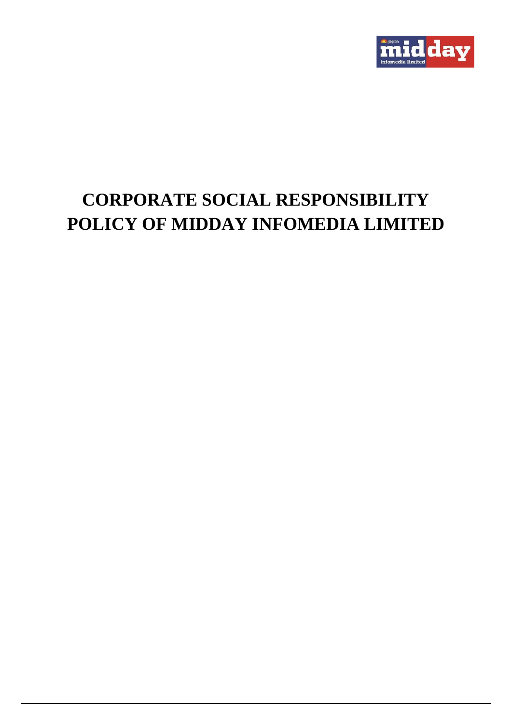

# **CORPORATE SOCIAL RESPONSIBILITY POLICY OF MIDDAY INFOMEDIA LIMITED**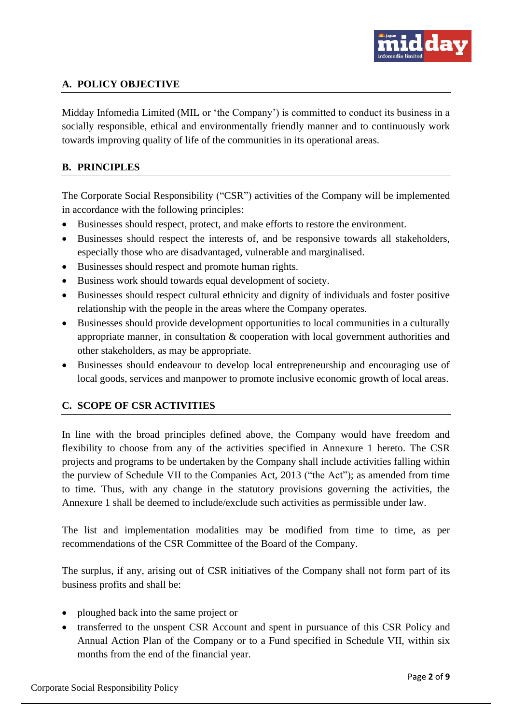

# **A. POLICY OBJECTIVE**

Midday Infomedia Limited (MIL or 'the Company') is committed to conduct its business in a socially responsible, ethical and environmentally friendly manner and to continuously work towards improving quality of life of the communities in its operational areas.

# **B. PRINCIPLES**

The Corporate Social Responsibility ("CSR") activities of the Company will be implemented in accordance with the following principles:

- Businesses should respect, protect, and make efforts to restore the environment.
- Businesses should respect the interests of, and be responsive towards all stakeholders, especially those who are disadvantaged, vulnerable and marginalised.
- Businesses should respect and promote human rights.
- Business work should towards equal development of society.
- Businesses should respect cultural ethnicity and dignity of individuals and foster positive relationship with the people in the areas where the Company operates.
- Businesses should provide development opportunities to local communities in a culturally appropriate manner, in consultation & cooperation with local government authorities and other stakeholders, as may be appropriate.
- Businesses should endeavour to develop local entrepreneurship and encouraging use of local goods, services and manpower to promote inclusive economic growth of local areas.

## **C. SCOPE OF CSR ACTIVITIES**

In line with the broad principles defined above, the Company would have freedom and flexibility to choose from any of the activities specified in Annexure 1 hereto. The CSR projects and programs to be undertaken by the Company shall include activities falling within the purview of Schedule VII to the Companies Act, 2013 ("the Act"); as amended from time to time. Thus, with any change in the statutory provisions governing the activities, the Annexure 1 shall be deemed to include/exclude such activities as permissible under law.

The list and implementation modalities may be modified from time to time, as per recommendations of the CSR Committee of the Board of the Company.

The surplus, if any, arising out of CSR initiatives of the Company shall not form part of its business profits and shall be:

- ploughed back into the same project or
- transferred to the unspent CSR Account and spent in pursuance of this CSR Policy and Annual Action Plan of the Company or to a Fund specified in Schedule VII, within six months from the end of the financial year.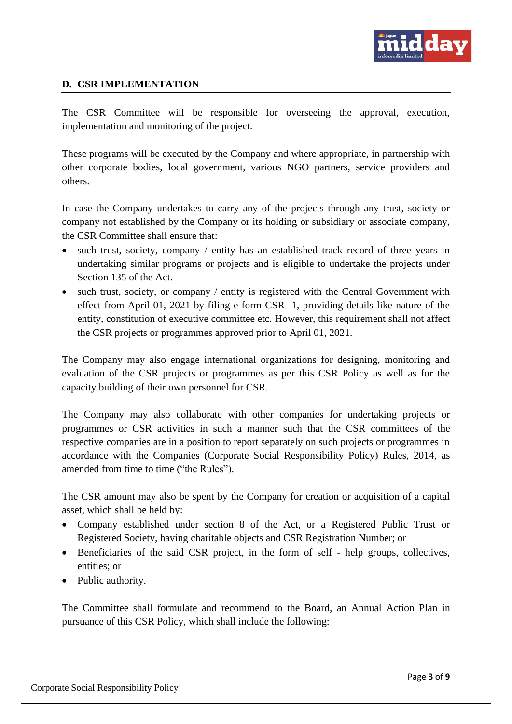

## **D. CSR IMPLEMENTATION**

The CSR Committee will be responsible for overseeing the approval, execution, implementation and monitoring of the project.

These programs will be executed by the Company and where appropriate, in partnership with other corporate bodies, local government, various NGO partners, service providers and others.

In case the Company undertakes to carry any of the projects through any trust, society or company not established by the Company or its holding or subsidiary or associate company, the CSR Committee shall ensure that:

- such trust, society, company / entity has an established track record of three years in undertaking similar programs or projects and is eligible to undertake the projects under Section 135 of the Act.
- such trust, society, or company / entity is registered with the Central Government with effect from April 01, 2021 by filing e-form CSR -1, providing details like nature of the entity, constitution of executive committee etc. However, this requirement shall not affect the CSR projects or programmes approved prior to April 01, 2021.

The Company may also engage international organizations for designing, monitoring and evaluation of the CSR projects or programmes as per this CSR Policy as well as for the capacity building of their own personnel for CSR.

The Company may also collaborate with other companies for undertaking projects or programmes or CSR activities in such a manner such that the CSR committees of the respective companies are in a position to report separately on such projects or programmes in accordance with the Companies (Corporate Social Responsibility Policy) Rules, 2014, as amended from time to time ("the Rules").

The CSR amount may also be spent by the Company for creation or acquisition of a capital asset, which shall be held by:

- Company established under section 8 of the Act, or a Registered Public Trust or Registered Society, having charitable objects and CSR Registration Number; or
- Beneficiaries of the said CSR project, in the form of self help groups, collectives, entities; or
- Public authority.

The Committee shall formulate and recommend to the Board, an Annual Action Plan in pursuance of this CSR Policy, which shall include the following: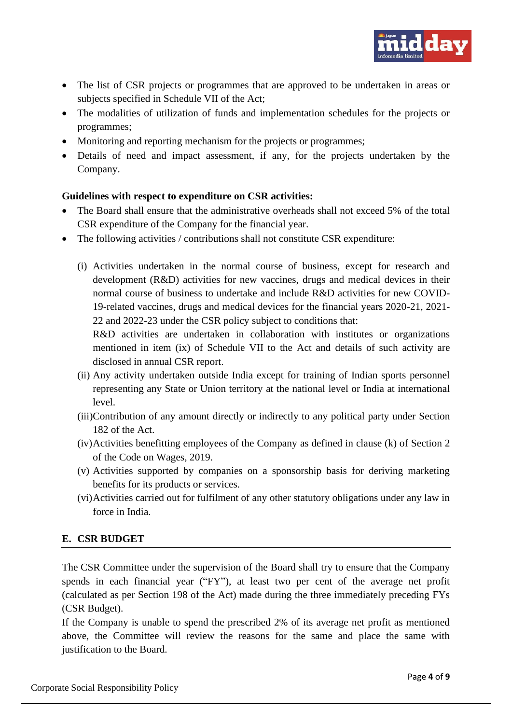

- The list of CSR projects or programmes that are approved to be undertaken in areas or subjects specified in Schedule VII of the Act;
- The modalities of utilization of funds and implementation schedules for the projects or programmes;
- Monitoring and reporting mechanism for the projects or programmes;
- Details of need and impact assessment, if any, for the projects undertaken by the Company.

#### **Guidelines with respect to expenditure on CSR activities:**

- The Board shall ensure that the administrative overheads shall not exceed 5% of the total CSR expenditure of the Company for the financial year.
- The following activities / contributions shall not constitute CSR expenditure:
	- (i) Activities undertaken in the normal course of business, except for research and development (R&D) activities for new vaccines, drugs and medical devices in their normal course of business to undertake and include R&D activities for new COVID-19-related vaccines, drugs and medical devices for the financial years 2020-21, 2021- 22 and 2022-23 under the CSR policy subject to conditions that:

R&D activities are undertaken in collaboration with institutes or organizations mentioned in item (ix) of Schedule VII to the Act and details of such activity are disclosed in annual CSR report.

- (ii) Any activity undertaken outside India except for training of Indian sports personnel representing any State or Union territory at the national level or India at international level.
- (iii)Contribution of any amount directly or indirectly to any political party under Section 182 of the Act.
- (iv)Activities benefitting employees of the Company as defined in clause (k) of Section 2 of the Code on Wages, 2019.
- (v) Activities supported by companies on a sponsorship basis for deriving marketing benefits for its products or services.
- (vi)Activities carried out for fulfilment of any other statutory obligations under any law in force in India.

## **E. CSR BUDGET**

The CSR Committee under the supervision of the Board shall try to ensure that the Company spends in each financial year ("FY"), at least two per cent of the average net profit (calculated as per Section 198 of the Act) made during the three immediately preceding FYs (CSR Budget).

If the Company is unable to spend the prescribed 2% of its average net profit as mentioned above, the Committee will review the reasons for the same and place the same with justification to the Board.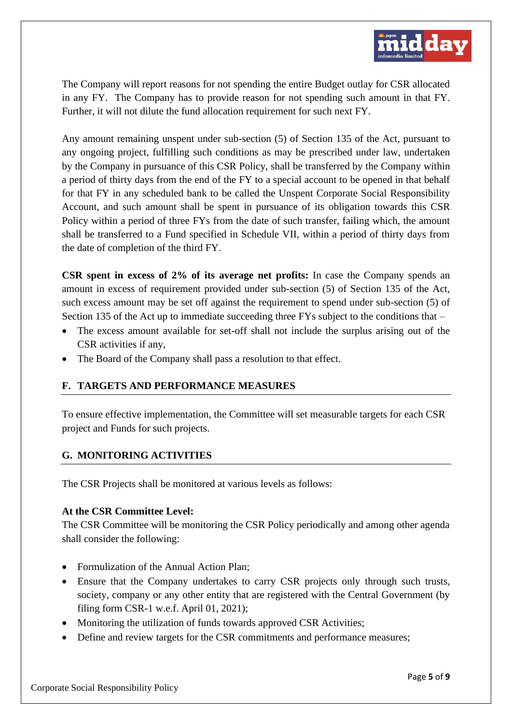

The Company will report reasons for not spending the entire Budget outlay for CSR allocated in any FY. The Company has to provide reason for not spending such amount in that FY. Further, it will not dilute the fund allocation requirement for such next FY.

Any amount remaining unspent under sub-section (5) of Section 135 of the Act, pursuant to any ongoing project, fulfilling such conditions as may be prescribed under law, undertaken by the Company in pursuance of this CSR Policy, shall be transferred by the Company within a period of thirty days from the end of the FY to a special account to be opened in that behalf for that FY in any scheduled bank to be called the Unspent Corporate Social Responsibility Account, and such amount shall be spent in pursuance of its obligation towards this CSR Policy within a period of three FYs from the date of such transfer, failing which, the amount shall be transferred to a Fund specified in Schedule VII, within a period of thirty days from the date of completion of the third FY.

**CSR spent in excess of 2% of its average net profits:** In case the Company spends an amount in excess of requirement provided under sub-section (5) of Section 135 of the Act, such excess amount may be set off against the requirement to spend under sub-section (5) of Section 135 of the Act up to immediate succeeding three FYs subject to the conditions that –

- The excess amount available for set-off shall not include the surplus arising out of the CSR activities if any,
- The Board of the Company shall pass a resolution to that effect.

# **F. TARGETS AND PERFORMANCE MEASURES**

To ensure effective implementation, the Committee will set measurable targets for each CSR project and Funds for such projects.

# **G. MONITORING ACTIVITIES**

The CSR Projects shall be monitored at various levels as follows:

## **At the CSR Committee Level:**

The CSR Committee will be monitoring the CSR Policy periodically and among other agenda shall consider the following:

- Formulization of the Annual Action Plan:
- Ensure that the Company undertakes to carry CSR projects only through such trusts, society, company or any other entity that are registered with the Central Government (by filing form CSR-1 w.e.f. April 01, 2021);
- Monitoring the utilization of funds towards approved CSR Activities;
- Define and review targets for the CSR commitments and performance measures;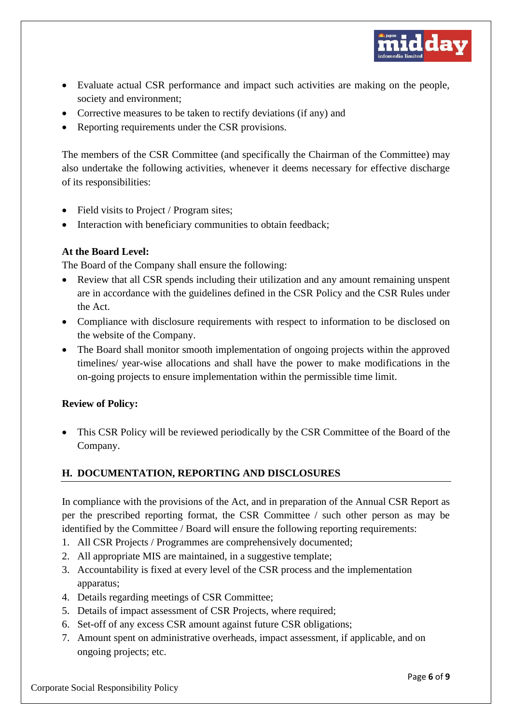

- Evaluate actual CSR performance and impact such activities are making on the people, society and environment;
- Corrective measures to be taken to rectify deviations (if any) and
- Reporting requirements under the CSR provisions.

The members of the CSR Committee (and specifically the Chairman of the Committee) may also undertake the following activities, whenever it deems necessary for effective discharge of its responsibilities:

- Field visits to Project / Program sites;
- Interaction with beneficiary communities to obtain feedback:

## **At the Board Level:**

The Board of the Company shall ensure the following:

- Review that all CSR spends including their utilization and any amount remaining unspent are in accordance with the guidelines defined in the CSR Policy and the CSR Rules under the Act.
- Compliance with disclosure requirements with respect to information to be disclosed on the website of the Company.
- The Board shall monitor smooth implementation of ongoing projects within the approved timelines/ year-wise allocations and shall have the power to make modifications in the on-going projects to ensure implementation within the permissible time limit.

## **Review of Policy:**

• This CSR Policy will be reviewed periodically by the CSR Committee of the Board of the Company.

## **H. DOCUMENTATION, REPORTING AND DISCLOSURES**

In compliance with the provisions of the Act, and in preparation of the Annual CSR Report as per the prescribed reporting format, the CSR Committee / such other person as may be identified by the Committee / Board will ensure the following reporting requirements:

- 1. All CSR Projects / Programmes are comprehensively documented;
- 2. All appropriate MIS are maintained, in a suggestive template;
- 3. Accountability is fixed at every level of the CSR process and the implementation apparatus;
- 4. Details regarding meetings of CSR Committee;
- 5. Details of impact assessment of CSR Projects, where required;
- 6. Set-off of any excess CSR amount against future CSR obligations;
- 7. Amount spent on administrative overheads, impact assessment, if applicable, and on ongoing projects; etc.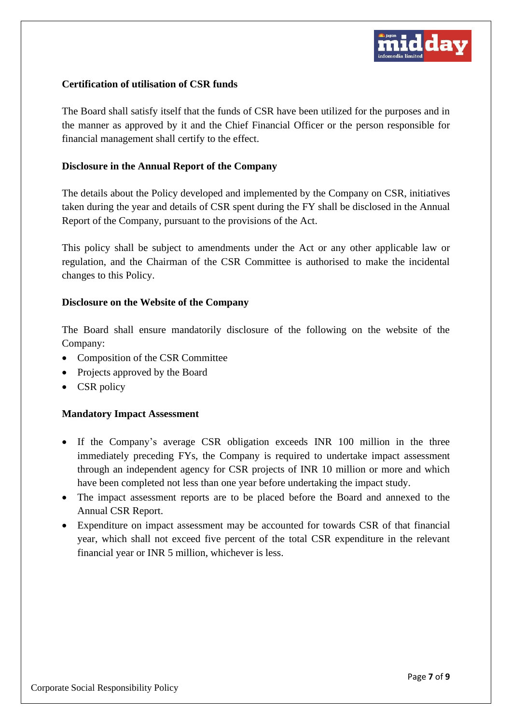

#### **Certification of utilisation of CSR funds**

The Board shall satisfy itself that the funds of CSR have been utilized for the purposes and in the manner as approved by it and the Chief Financial Officer or the person responsible for financial management shall certify to the effect.

#### **Disclosure in the Annual Report of the Company**

The details about the Policy developed and implemented by the Company on CSR, initiatives taken during the year and details of CSR spent during the FY shall be disclosed in the Annual Report of the Company, pursuant to the provisions of the Act.

This policy shall be subject to amendments under the Act or any other applicable law or regulation, and the Chairman of the CSR Committee is authorised to make the incidental changes to this Policy.

#### **Disclosure on the Website of the Company**

The Board shall ensure mandatorily disclosure of the following on the website of the Company:

- Composition of the CSR Committee
- Projects approved by the Board
- CSR policy

#### **Mandatory Impact Assessment**

- If the Company's average CSR obligation exceeds INR 100 million in the three immediately preceding FYs, the Company is required to undertake impact assessment through an independent agency for CSR projects of INR 10 million or more and which have been completed not less than one year before undertaking the impact study.
- The impact assessment reports are to be placed before the Board and annexed to the Annual CSR Report.
- Expenditure on impact assessment may be accounted for towards CSR of that financial year, which shall not exceed five percent of the total CSR expenditure in the relevant financial year or INR 5 million, whichever is less.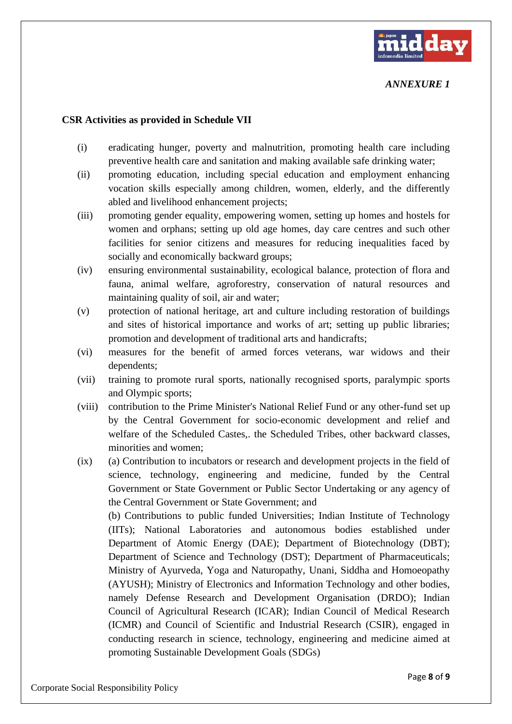

#### *ANNEXURE 1*

#### **CSR Activities as provided in Schedule VII**

- (i) eradicating hunger, poverty and malnutrition, promoting health care including preventive health care and sanitation and making available safe drinking water;
- (ii) promoting education, including special education and employment enhancing vocation skills especially among children, women, elderly, and the differently abled and livelihood enhancement projects;
- (iii) promoting gender equality, empowering women, setting up homes and hostels for women and orphans; setting up old age homes, day care centres and such other facilities for senior citizens and measures for reducing inequalities faced by socially and economically backward groups;
- (iv) ensuring environmental sustainability, ecological balance, protection of flora and fauna, animal welfare, agroforestry, conservation of natural resources and maintaining quality of soil, air and water;
- (v) protection of national heritage, art and culture including restoration of buildings and sites of historical importance and works of art; setting up public libraries; promotion and development of traditional arts and handicrafts;
- (vi) measures for the benefit of armed forces veterans, war widows and their dependents;
- (vii) training to promote rural sports, nationally recognised sports, paralympic sports and Olympic sports;
- (viii) contribution to the Prime Minister's National Relief Fund or any other-fund set up by the Central Government for socio-economic development and relief and welfare of the Scheduled Castes,. the Scheduled Tribes, other backward classes, minorities and women;
- (ix) (a) Contribution to incubators or research and development projects in the field of science, technology, engineering and medicine, funded by the Central Government or State Government or Public Sector Undertaking or any agency of the Central Government or State Government; and (b) Contributions to public funded Universities; Indian Institute of Technology (IITs); National Laboratories and autonomous bodies established under Department of Atomic Energy (DAE); Department of Biotechnology (DBT); Department of Science and Technology (DST); Department of Pharmaceuticals;

Ministry of Ayurveda, Yoga and Naturopathy, Unani, Siddha and Homoeopathy (AYUSH); Ministry of Electronics and Information Technology and other bodies, namely Defense Research and Development Organisation (DRDO); Indian Council of Agricultural Research (ICAR); Indian Council of Medical Research (ICMR) and Council of Scientific and Industrial Research (CSIR), engaged in conducting research in science, technology, engineering and medicine aimed at promoting Sustainable Development Goals (SDGs)